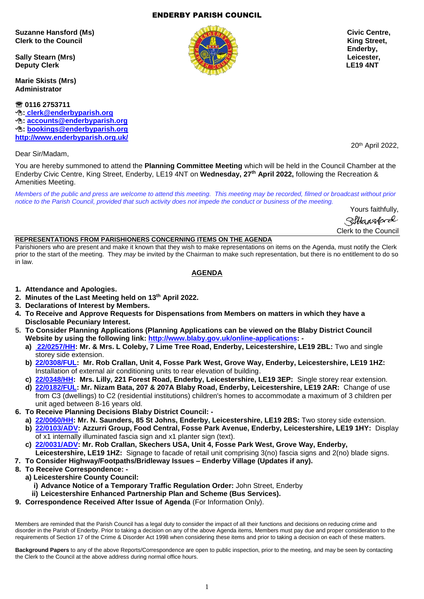1

## ENDERBY PARISH COUNCIL

**Suzanne Hansford (Ms) Civic Centre, Clerk to the Council Clerk to the Council Clerk is a street, which can be a street of the Council Clerk is a street,** 

**Sally Stearn (Mrs) Leicester, Deputy Clerk LE19 4NT** 

**Marie Skists (Mrs) Administrator**

 **0116 2753711 : [clerk@enderbyparish.org](mailto:%20clerk@enderbyparish.org) : [accounts@enderbyparish.org](mailto:accounts@enderbyparish.org) : [bookings@enderbyparish.org](mailto:bookings@enderbyparish.org) <http://www.enderbyparish.org.uk/>**

Dear Sir/Madam,

You are hereby summoned to attend the **Planning Committee Meeting** which will be held in the Council Chamber at the Enderby Civic Centre, King Street, Enderby, LE19 4NT on **Wednesday, 27th April 2022,** following the Recreation & Amenities Meeting.

*Members of the public and press are welcome to attend this meeting. This meeting may be recorded, filmed or broadcast without prior notice to the Parish Council, provided that such activity does not impede the conduct or business of the meeting.*

> Yours faithfully, Siltansford Clerk to the Council

#### **REPRESENTATIONS FROM PARISHIONERS CONCERNING ITEMS ON THE AGENDA**

Parishioners who are present and make it known that they wish to make representations on items on the Agenda, must notify the Clerk prior to the start of the meeting. They *may* be invited by the Chairman to make such representation, but there is no entitlement to do so in law.

## **AGENDA**

- **1. Attendance and Apologies.**
- **2. Minutes of the Last Meeting held on 13th April 2022.**
- **3. Declarations of Interest by Members.**
- **4. To Receive and Approve Requests for Dispensations from Members on matters in which they have a Disclosable Pecuniary Interest.**
- **5. To Consider Planning Applications (Planning Applications can be viewed on the Blaby District Council Website by using the following link: [http://www.blaby.gov.uk/online-applications:](http://www.blaby.gov.uk/online-applications)** 
	- **a) [22/0257/HH:](https://pa.blaby.gov.uk/online-applications/applicationDetails.do?activeTab=documents&keyVal=R8S55LCYJOF00) Mr. & Mrs. L Coleby, 7 Lime Tree Road, Enderby, Leicestershire, LE19 2BL:** Two and single storey side extension.
	- **b) [22/0308/FUL:](https://pa.blaby.gov.uk/online-applications/applicationDetails.do?activeTab=documents&keyVal=R9AMDJCYJS300) Mr. Rob Crallan, Unit 4, Fosse Park West, Grove Way, Enderby, Leicestershire, LE19 1HZ:**  Installation of external air conditioning units to rear elevation of building.
	- **c) [22/0348/HH:](https://pa.blaby.gov.uk/online-applications/applicationDetails.do?activeTab=documents&keyVal=R9V2HRCYJWF00) Mrs. Lilly, 221 Forest Road, Enderby, Leicestershire, LE19 3EP:** Single storey rear extension.
	- **d) [22/0182/FUL:](https://pa.blaby.gov.uk/online-applications/applicationDetails.do?activeTab=documents&keyVal=R7T2LWCYJID00) Mr. Nizam Bata, 207 & 207A Blaby Road, Enderby, Leicestershire, LE19 2AR:** Change of use from C3 (dwellings) to C2 (residential institutions) children's homes to accommodate a maximum of 3 children per unit aged between 8-16 years old.
- **6. To Receive Planning Decisions Blaby District Council:** 
	- **a) [22/0060/HH:](https://pa.blaby.gov.uk/online-applications/applicationDetails.do?activeTab=documents&keyVal=R60KHICY05Y00) Mr. N. Saunders, 85 St Johns, Enderby, Leicestershire, LE19 2BS:** Two storey side extension. **b) [22/0103/ADV:](https://pa.blaby.gov.uk/online-applications/applicationDetails.do?activeTab=documents&keyVal=R6ON3DCYJBJ00) Azzurri Group, Food Central, Fosse Park Avenue, Enderby, Leicestershire, LE19 1HY:** Display of x1 internally illuminated fascia sign and x1 planter sign (text).
	-
	- **c) [22/0031/ADV:](https://pa.blaby.gov.uk/online-applications/applicationDetails.do?activeTab=documents&keyVal=R5LADLCYJ4300) Mr. Rob Crallan, Skechers USA, Unit 4, Fosse Park West, Grove Way, Enderby,**
	- **Leicestershire, LE19 1HZ:** Signage to facade of retail unit comprising 3(no) fascia signs and 2(no) blade signs.
- **7. To Consider Highway/Footpaths/Bridleway Issues – Enderby Village (Updates if any).**
- **8. To Receive Correspondence:** 
	- **a) Leicestershire County Council:** 
		- **i) Advance Notice of a Temporary Traffic Regulation Order:** John Street, Enderby
		- **ii) Leicestershire Enhanced Partnership Plan and Scheme (Bus Services).**
- **9. Correspondence Received After Issue of Agenda** (For Information Only).

Members are reminded that the Parish Council has a legal duty to consider the impact of all their functions and decisions on reducing crime and disorder in the Parish of Enderby. Prior to taking a decision on any of the above Agenda items, Members must pay due and proper consideration to the requirements of Section 17 of the Crime & Disorder Act 1998 when considering these items and prior to taking a decision on each of these matters.

**Background Papers** to any of the above Reports/Correspondence are open to public inspection, prior to the meeting, and may be seen by contacting the Clerk to the Council at the above address during normal office hours.



20th April 2022,